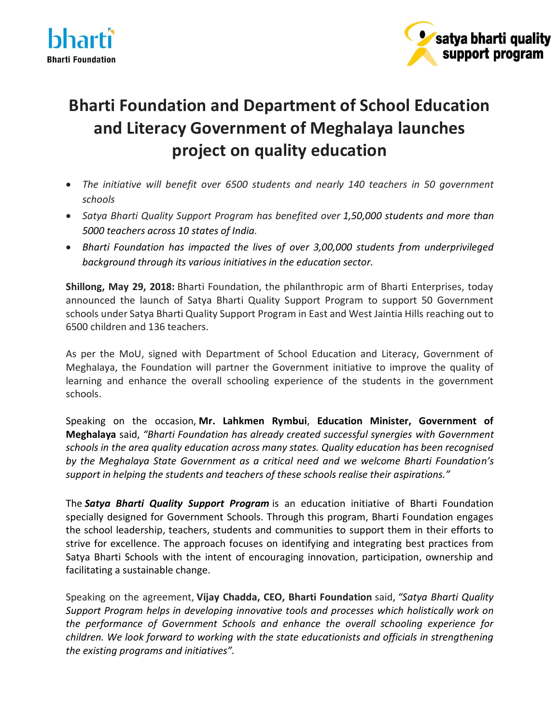



## **Bharti Foundation and Department of School Education and Literacy Government of Meghalaya launches project on quality education**

- *The initiative will benefit over 6500 students and nearly 140 teachers in 50 government schools*
- *Satya Bharti Quality Support Program has benefited over 1,50,000 students and more than 5000 teachers across 10 states of India.*
- *Bharti Foundation has impacted the lives of over 3,00,000 students from underprivileged background through its various initiatives in the education sector.*

**Shillong, May 29, 2018:** Bharti Foundation, the philanthropic arm of Bharti Enterprises, today announced the launch of Satya Bharti Quality Support Program to support 50 Government schools under Satya Bharti Quality Support Program in East and West Jaintia Hills reaching out to 6500 children and 136 teachers.

As per the MoU, signed with Department of School Education and Literacy, Government of Meghalaya, the Foundation will partner the Government initiative to improve the quality of learning and enhance the overall schooling experience of the students in the government schools.

Speaking on the occasion, **Mr. Lahkmen Rymbui**, **Education Minister, Government of Meghalaya** said, *"Bharti Foundation has already created successful synergies with Government schools in the area quality education across many states. Quality education has been recognised by the Meghalaya State Government as a critical need and we welcome Bharti Foundation's support in helping the students and teachers of these schools realise their aspirations."*

The *Satya Bharti Quality Support Program* is an education initiative of Bharti Foundation specially designed for Government Schools. Through this program, Bharti Foundation engages the school leadership, teachers, students and communities to support them in their efforts to strive for excellence. The approach focuses on identifying and integrating best practices from Satya Bharti Schools with the intent of encouraging innovation, participation, ownership and facilitating a sustainable change.

Speaking on the agreement, **Vijay Chadda, CEO, Bharti Foundation** said, *"Satya Bharti Quality Support Program helps in developing innovative tools and processes which holistically work on the performance of Government Schools and enhance the overall schooling experience for children. We look forward to working with the state educationists and officials in strengthening the existing programs and initiatives".*